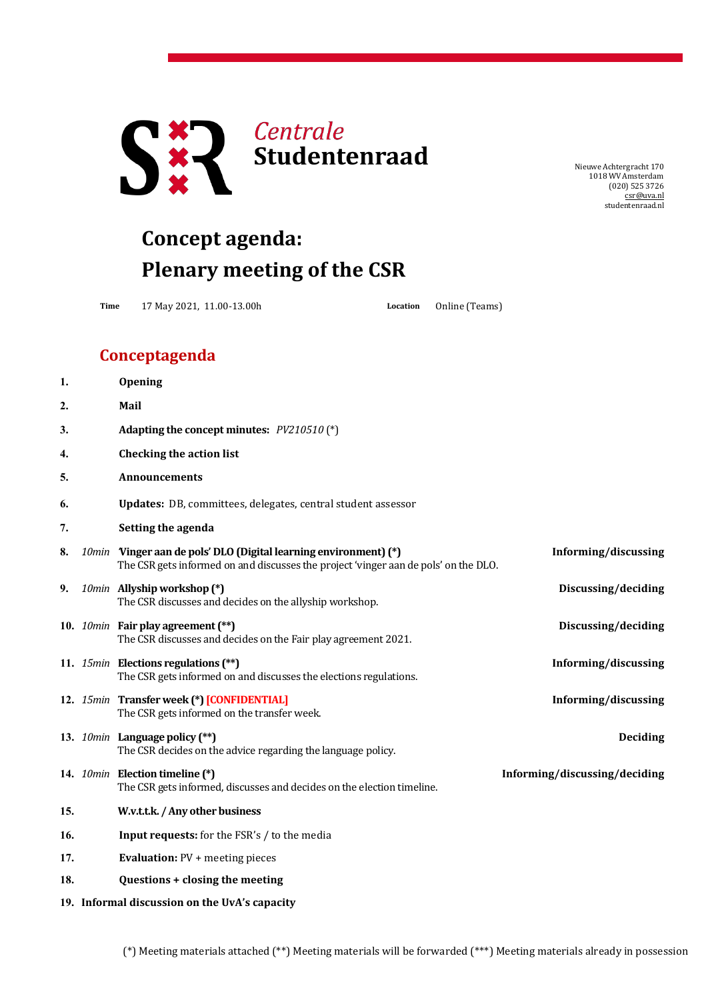

NieuweAchtergracht 170 1018 WV Amsterdam (020) 525 3726 [csr@uva.nl](mailto:csr@uva.nl) studentenraad.nl

## **Concept agenda: Plenary meeting of the CSR**

**Time** 17 May 2021, 11.00-13.00h **Location** Online (Teams)

## **Conceptagenda**

| 1.                                            |  | <b>Opening</b>                                                                                                                                          |                               |  |
|-----------------------------------------------|--|---------------------------------------------------------------------------------------------------------------------------------------------------------|-------------------------------|--|
| 2.                                            |  | Mail                                                                                                                                                    |                               |  |
| 3.                                            |  | Adapting the concept minutes: $PV210510$ (*)                                                                                                            |                               |  |
| 4.                                            |  | <b>Checking the action list</b>                                                                                                                         |                               |  |
| 5.                                            |  | <b>Announcements</b>                                                                                                                                    |                               |  |
| 6.                                            |  | Updates: DB, committees, delegates, central student assessor                                                                                            |                               |  |
| 7.                                            |  | Setting the agenda                                                                                                                                      |                               |  |
| 8.                                            |  | 10min Vinger aan de pols' DLO (Digital learning environment) (*)<br>The CSR gets informed on and discusses the project 'vinger aan de pols' on the DLO. | Informing/discussing          |  |
| 9.                                            |  | 10min Allyship workshop (*)<br>The CSR discusses and decides on the allyship workshop.                                                                  | Discussing/deciding           |  |
|                                               |  | 10. 10min Fair play agreement (**)<br>The CSR discusses and decides on the Fair play agreement 2021.                                                    | Discussing/deciding           |  |
|                                               |  | 11. 15min Elections regulations (**)<br>The CSR gets informed on and discusses the elections regulations.                                               | Informing/discussing          |  |
|                                               |  | 12. 15min Transfer week (*) [CONFIDENTIAL]<br>The CSR gets informed on the transfer week.                                                               | Informing/discussing          |  |
|                                               |  | 13. 10min Language policy (**)<br>The CSR decides on the advice regarding the language policy.                                                          | <b>Deciding</b>               |  |
|                                               |  | 14. 10min Election timeline (*)<br>The CSR gets informed, discusses and decides on the election timeline.                                               | Informing/discussing/deciding |  |
| 15.                                           |  | W.v.t.t.k. / Any other business                                                                                                                         |                               |  |
| 16.                                           |  | Input requests: for the FSR's / to the media                                                                                                            |                               |  |
| 17.                                           |  | <b>Evaluation: PV + meeting pieces</b>                                                                                                                  |                               |  |
| 18.                                           |  | Questions + closing the meeting                                                                                                                         |                               |  |
| 19. Informal discussion on the UvA's capacity |  |                                                                                                                                                         |                               |  |